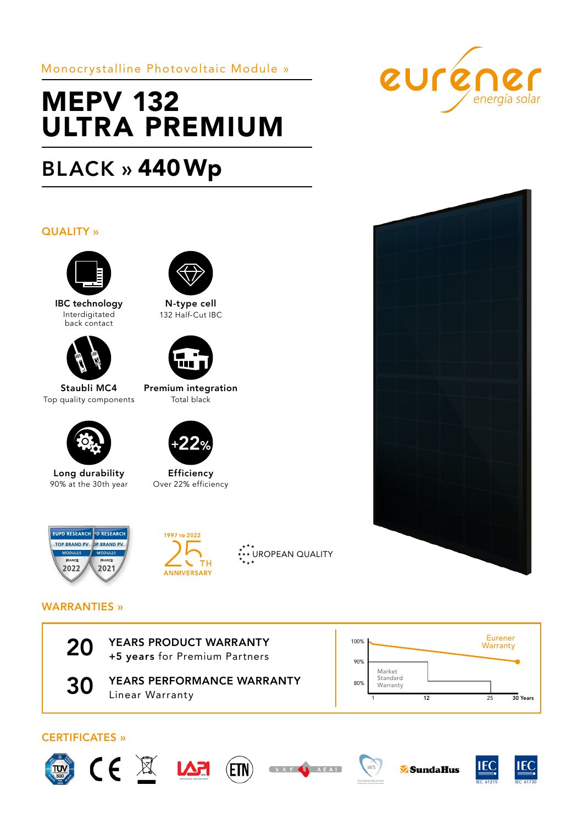Monocrystalline Photovoltaic Module »

# MEPV 132 ULTRA PREMIUM

# BLACK » 440Wp

## QUALITY »



IBC technology Interdigitated back contact



Staubli MC4 Top quality components



Long durability 90% at the 30th year



N-type cell 132 Half-Cut IBC



Premium integration Total black



Efficiency Over 22% efficiency











## WARRANTIES »



20 YEARS PRODUCT WARRANTY<br>+5 years for Premium Partners



**30 YEARS PERFORMANCE WARRANTY** Linear Warranty



## CERTIFICATES »









 $MCS$